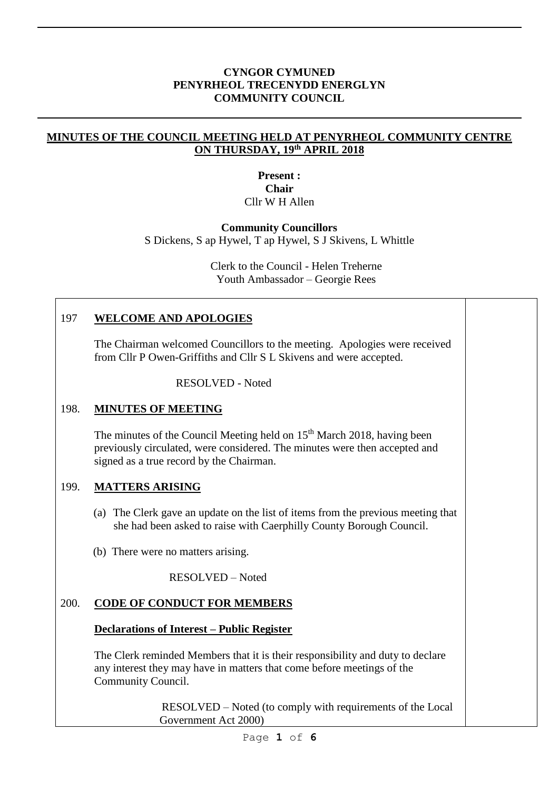#### **CYNGOR CYMUNED PENYRHEOL TRECENYDD ENERGLYN COMMUNITY COUNCIL**

#### **MINUTES OF THE COUNCIL MEETING HELD AT PENYRHEOL COMMUNITY CENTRE ON THURSDAY, 19 th APRIL 2018**

#### **Present : Chair** Cllr W H Allen

#### **Community Councillors**

S Dickens, S ap Hywel, T ap Hywel, S J Skivens, L Whittle

Clerk to the Council - Helen Treherne Youth Ambassador – Georgie Rees

### 197 **WELCOME AND APOLOGIES**

The Chairman welcomed Councillors to the meeting. Apologies were received from Cllr P Owen-Griffiths and Cllr S L Skivens and were accepted.

RESOLVED - Noted

## 198. **MINUTES OF MEETING**

The minutes of the Council Meeting held on 15<sup>th</sup> March 2018, having been previously circulated, were considered. The minutes were then accepted and signed as a true record by the Chairman.

## 199. **MATTERS ARISING**

- (a) The Clerk gave an update on the list of items from the previous meeting that she had been asked to raise with Caerphilly County Borough Council.
- (b) There were no matters arising.

RESOLVED – Noted

## 200. **CODE OF CONDUCT FOR MEMBERS**

#### **Declarations of Interest – Public Register**

The Clerk reminded Members that it is their responsibility and duty to declare any interest they may have in matters that come before meetings of the Community Council.

> RESOLVED – Noted (to comply with requirements of the Local Government Act 2000)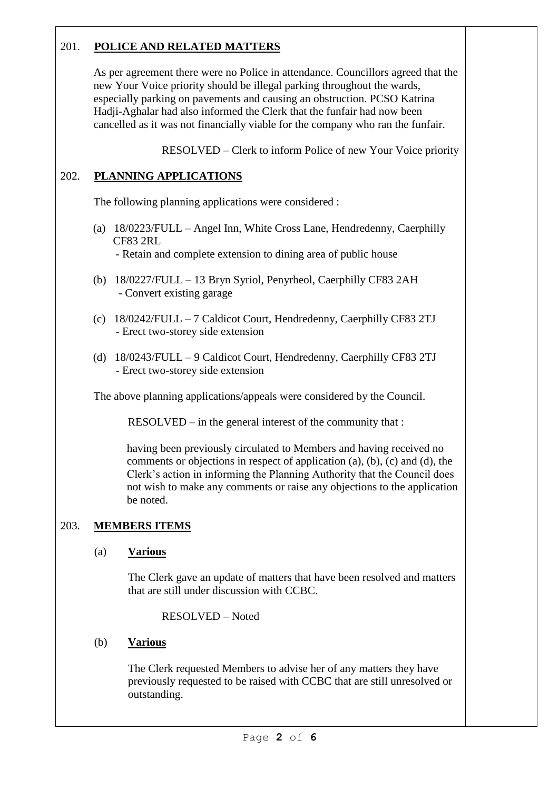# 201. **POLICE AND RELATED MATTERS**

As per agreement there were no Police in attendance. Councillors agreed that the new Your Voice priority should be illegal parking throughout the wards, especially parking on pavements and causing an obstruction. PCSO Katrina Hadji-Aghalar had also informed the Clerk that the funfair had now been cancelled as it was not financially viable for the company who ran the funfair.

RESOLVED – Clerk to inform Police of new Your Voice priority

## 202. **PLANNING APPLICATIONS**

The following planning applications were considered :

- (a) 18/0223/FULL Angel Inn, White Cross Lane, Hendredenny, Caerphilly CF83 2RL - Retain and complete extension to dining area of public house
- (b) 18/0227/FULL 13 Bryn Syriol, Penyrheol, Caerphilly CF83 2AH - Convert existing garage
- (c) 18/0242/FULL 7 Caldicot Court, Hendredenny, Caerphilly CF83 2TJ - Erect two-storey side extension
- (d) 18/0243/FULL 9 Caldicot Court, Hendredenny, Caerphilly CF83 2TJ - Erect two-storey side extension

The above planning applications/appeals were considered by the Council.

RESOLVED – in the general interest of the community that :

having been previously circulated to Members and having received no comments or objections in respect of application (a), (b), (c) and (d), the Clerk's action in informing the Planning Authority that the Council does not wish to make any comments or raise any objections to the application be noted.

## 203. **MEMBERS ITEMS**

## (a) **Various**

The Clerk gave an update of matters that have been resolved and matters that are still under discussion with CCBC.

RESOLVED – Noted

## (b) **Various**

The Clerk requested Members to advise her of any matters they have previously requested to be raised with CCBC that are still unresolved or outstanding.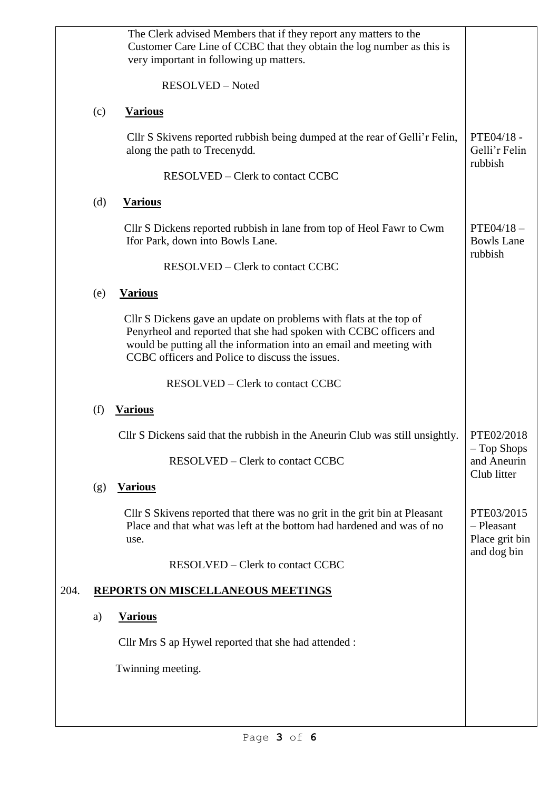|      |     | The Clerk advised Members that if they report any matters to the<br>Customer Care Line of CCBC that they obtain the log number as this is<br>very important in following up matters.                                                                              |                                             |
|------|-----|-------------------------------------------------------------------------------------------------------------------------------------------------------------------------------------------------------------------------------------------------------------------|---------------------------------------------|
|      |     | RESOLVED - Noted                                                                                                                                                                                                                                                  |                                             |
|      | (c) | <b>Various</b>                                                                                                                                                                                                                                                    |                                             |
|      |     | Cllr S Skivens reported rubbish being dumped at the rear of Gelli'r Felin,<br>along the path to Trecenydd.                                                                                                                                                        | PTE04/18 -<br>Gelli'r Felin<br>rubbish      |
|      |     | <b>RESOLVED</b> – Clerk to contact CCBC                                                                                                                                                                                                                           |                                             |
|      | (d) | <b>Various</b>                                                                                                                                                                                                                                                    |                                             |
|      |     | Cllr S Dickens reported rubbish in lane from top of Heol Fawr to Cwm<br>Ifor Park, down into Bowls Lane.                                                                                                                                                          | $PTE04/18-$<br><b>Bowls Lane</b><br>rubbish |
|      |     | <b>RESOLVED</b> – Clerk to contact CCBC                                                                                                                                                                                                                           |                                             |
|      | (e) | <b>Various</b>                                                                                                                                                                                                                                                    |                                             |
|      |     | Cllr S Dickens gave an update on problems with flats at the top of<br>Penyrheol and reported that she had spoken with CCBC officers and<br>would be putting all the information into an email and meeting with<br>CCBC officers and Police to discuss the issues. |                                             |
|      |     | <b>RESOLVED – Clerk to contact CCBC</b>                                                                                                                                                                                                                           |                                             |
|      | (f) | <b>Various</b>                                                                                                                                                                                                                                                    |                                             |
|      |     | Cllr S Dickens said that the rubbish in the Aneurin Club was still unsightly.                                                                                                                                                                                     | PTE02/2018<br>$-$ Top Shops                 |
|      |     | <b>RESOLVED</b> – Clerk to contact CCBC                                                                                                                                                                                                                           | and Aneurin<br>Club litter                  |
|      | (g) | <b>Various</b>                                                                                                                                                                                                                                                    |                                             |
|      |     | Cllr S Skivens reported that there was no grit in the grit bin at Pleasant<br>Place and that what was left at the bottom had hardened and was of no<br>use.                                                                                                       | PTE03/2015<br>- Pleasant<br>Place grit bin  |
|      |     | <b>RESOLVED</b> – Clerk to contact CCBC                                                                                                                                                                                                                           | and dog bin                                 |
| 204. |     | <b>REPORTS ON MISCELLANEOUS MEETINGS</b>                                                                                                                                                                                                                          |                                             |
|      | a)  | <b>Various</b>                                                                                                                                                                                                                                                    |                                             |
|      |     | Cllr Mrs S ap Hywel reported that she had attended :                                                                                                                                                                                                              |                                             |
|      |     | Twinning meeting.                                                                                                                                                                                                                                                 |                                             |
|      |     |                                                                                                                                                                                                                                                                   |                                             |
|      |     |                                                                                                                                                                                                                                                                   |                                             |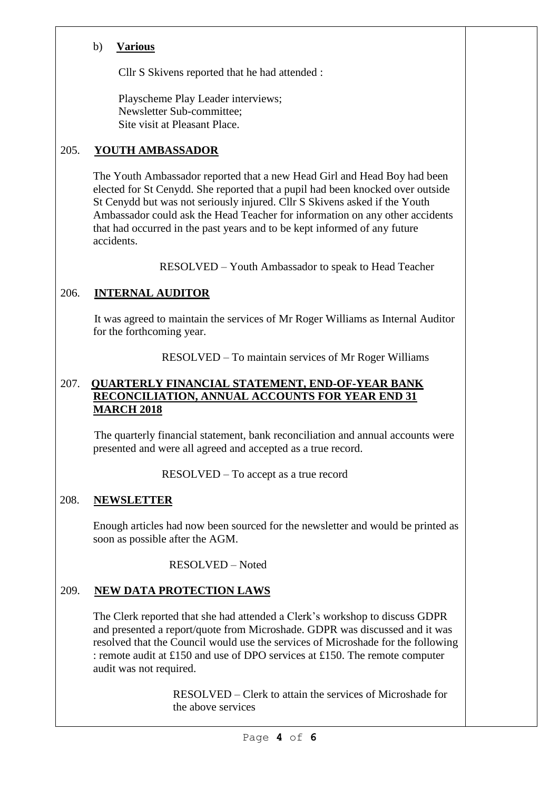## b) **Various**

Cllr S Skivens reported that he had attended :

 Playscheme Play Leader interviews; Newsletter Sub-committee; Site visit at Pleasant Place.

## 205. **YOUTH AMBASSADOR**

The Youth Ambassador reported that a new Head Girl and Head Boy had been elected for St Cenydd. She reported that a pupil had been knocked over outside St Cenydd but was not seriously injured. Cllr S Skivens asked if the Youth Ambassador could ask the Head Teacher for information on any other accidents that had occurred in the past years and to be kept informed of any future accidents.

RESOLVED – Youth Ambassador to speak to Head Teacher

## 206. **INTERNAL AUDITOR**

 It was agreed to maintain the services of Mr Roger Williams as Internal Auditor for the forthcoming year.

RESOLVED – To maintain services of Mr Roger Williams

#### 207. **QUARTERLY FINANCIAL STATEMENT, END-OF-YEAR BANK RECONCILIATION, ANNUAL ACCOUNTS FOR YEAR END 31 MARCH 2018**

 The quarterly financial statement, bank reconciliation and annual accounts were presented and were all agreed and accepted as a true record.

RESOLVED – To accept as a true record

## 208. **NEWSLETTER**

Enough articles had now been sourced for the newsletter and would be printed as soon as possible after the AGM.

RESOLVED – Noted

## 209. **NEW DATA PROTECTION LAWS**

The Clerk reported that she had attended a Clerk's workshop to discuss GDPR and presented a report/quote from Microshade. GDPR was discussed and it was resolved that the Council would use the services of Microshade for the following : remote audit at £150 and use of DPO services at £150. The remote computer audit was not required.

> RESOLVED – Clerk to attain the services of Microshade for the above services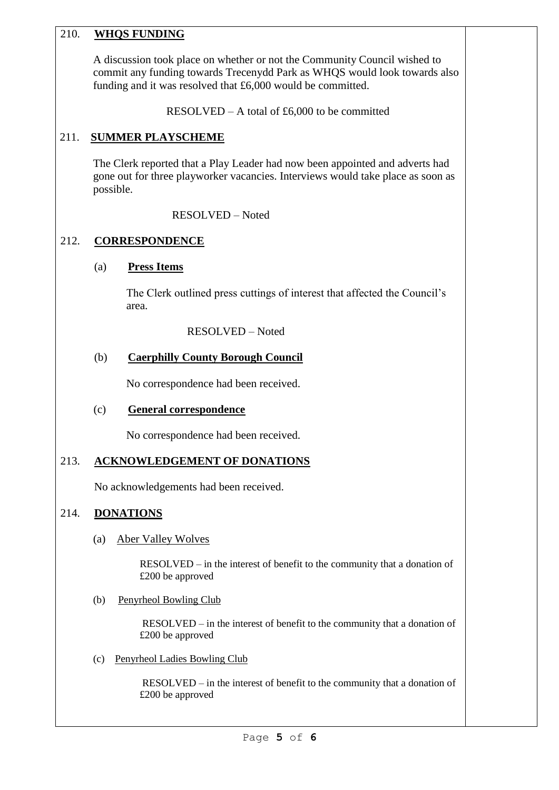## 210. **WHQS FUNDING**

A discussion took place on whether or not the Community Council wished to commit any funding towards Trecenydd Park as WHQS would look towards also funding and it was resolved that £6,000 would be committed.

RESOLVED – A total of £6,000 to be committed

# 211. **SUMMER PLAYSCHEME**

The Clerk reported that a Play Leader had now been appointed and adverts had gone out for three playworker vacancies. Interviews would take place as soon as possible.

RESOLVED – Noted

# 212. **CORRESPONDENCE**

## (a) **Press Items**

The Clerk outlined press cuttings of interest that affected the Council's area.

RESOLVED – Noted

## (b) **Caerphilly County Borough Council**

No correspondence had been received.

# (c) **General correspondence**

No correspondence had been received.

# 213. **ACKNOWLEDGEMENT OF DONATIONS**

No acknowledgements had been received.

# 214. **DONATIONS**

(a) Aber Valley Wolves

 RESOLVED – in the interest of benefit to the community that a donation of £200 be approved

(b) Penyrheol Bowling Club

 RESOLVED – in the interest of benefit to the community that a donation of £200 be approved

(c) Penyrheol Ladies Bowling Club

 RESOLVED – in the interest of benefit to the community that a donation of £200 be approved